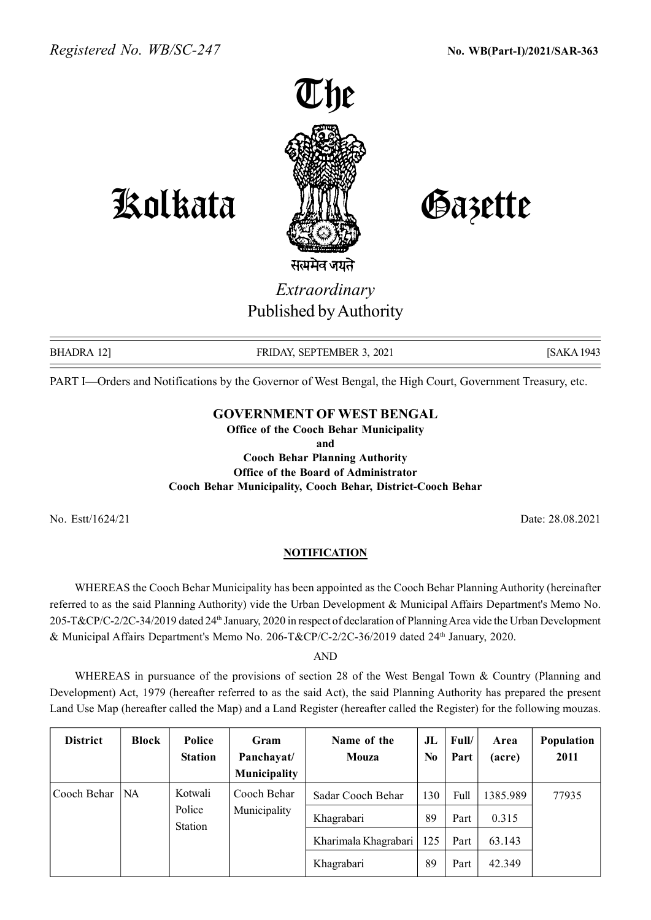

Kolkata Gazette

Extraordinary Published by Authority

BHADRA 12] **FRIDAY, SEPTEMBER 3, 2021** [SAKA 1943] [SAKA 1943]

PART I—Orders and Notifications by the Governor of West Bengal, the High Court, Government Treasury, etc.

## GOVERNMENT OF WEST BENGAL

Office of the Cooch Behar Municipality and Cooch Behar Planning Authority Office of the Board of Administrator Cooch Behar Municipality, Cooch Behar, District-Cooch Behar

No. Estt/1624/21 Date: 28.08.2021

## **NOTIFICATION**

WHEREAS the Cooch Behar Municipality has been appointed as the Cooch Behar Planning Authority (hereinafter referred to as the said Planning Authority) vide the Urban Development & Municipal Affairs Department's Memo No. 205-T&CP/C-2/2C-34/2019 dated 24th January, 2020 in respect of declaration of Planning Area vide the Urban Development & Municipal Affairs Department's Memo No. 206-T&CP/C-2/2C-36/2019 dated 24th January, 2020.

AND

WHEREAS in pursuance of the provisions of section 28 of the West Bengal Town & Country (Planning and Development) Act, 1979 (hereafter referred to as the said Act), the said Planning Authority has prepared the present Land Use Map (hereafter called the Map) and a Land Register (hereafter called the Register) for the following mouzas.

| <b>District</b> | Block     | <b>Police</b><br><b>Station</b> | Gram<br>Panchayat/<br><b>Municipality</b> | Name of the<br><b>Mouza</b> | $J_{\rm L}$<br>N <sub>0</sub> | Full/<br>Part | Area<br>(acre) | Population<br>2011 |
|-----------------|-----------|---------------------------------|-------------------------------------------|-----------------------------|-------------------------------|---------------|----------------|--------------------|
| Cooch Behar     | <b>NA</b> | Kotwali<br>Police<br>Station    | Cooch Behar<br>Municipality               | Sadar Cooch Behar           | 130                           | Full          | 1385.989       | 77935              |
|                 |           |                                 |                                           | Khagrabari                  | 89                            | Part          | 0.315          |                    |
|                 |           |                                 |                                           | Kharimala Khagrabari        | 125                           | Part          | 63.143         |                    |
|                 |           |                                 |                                           | Khagrabari                  | 89                            | Part          | 42.349         |                    |